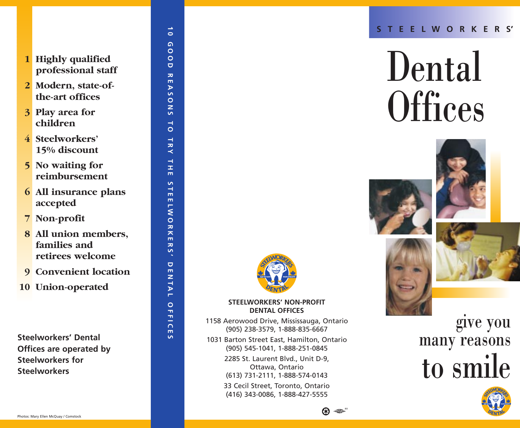- **1 Highly qualified professional staff**
- **2 Modern, state-ofthe-art offices**
- **3 Play area for children**
- **4 Steelworkers' 15% discount**
- **5 No waiting for reimbursement**
- **6 All insurance plans accepted**
- **7 Non-profit**
- **8 All union members, families and retirees welcome**
- **9 Convenient location**
- **10 Union-operated**

**Steelworkers' Dental Offices are operated by Steelworkers for Steelworkers**

#### **10 GOOD REASONS TO TRY THE STEELWORKERS' DENTAL OFFICES**  $\Omega$  $\circ$  $\circ$  $\overline{a}$  $\overline{\mathbf{z}}$  $\overline{m}$  $\triangleright$ <u>in</u>  $\circ$  $\overline{z}$  $\mathsf{S}$  $\rightarrow$  $\circ$ TRY  $\frac{1}{1}$  $\mathbf{m}$  $\overline{a}$  $\rightarrow$  $\mathbf{m}$  $\overline{\mathbf{m}}$  $\overline{\phantom{a}}$  $\overline{\mathsf{o}}$ ラス  $\overline{\mathbf{m}}$  $\overline{\mathbf{z}}$ S  $\Box$  $\frac{1}{2}$ **ITAL** OFFIC  $\overline{\mathbf{m}}$  $\overline{a}$

 $\rightarrow$  $\bullet$ 



# Dental **Offices**





#### **STEELWORKERS' NON-PROFIT DENTAL OFFICES**

- 1158 Aerowood Drive, Mississauga, Ontario (905) 238-3579, 1-888-835-6667
- 1031 Barton Street East, Hamilton, Ontario (905) 545-1041, 1-888-251-0845
	- 2285 St. Laurent Blvd., Unit D-9, Ottawa, Ontario (613) 731-2111, 1-888-574-0143

33 Cecil Street, Toronto, Ontario (416) 343-0086, 1-888-427-5555

## give you many reasons to smile